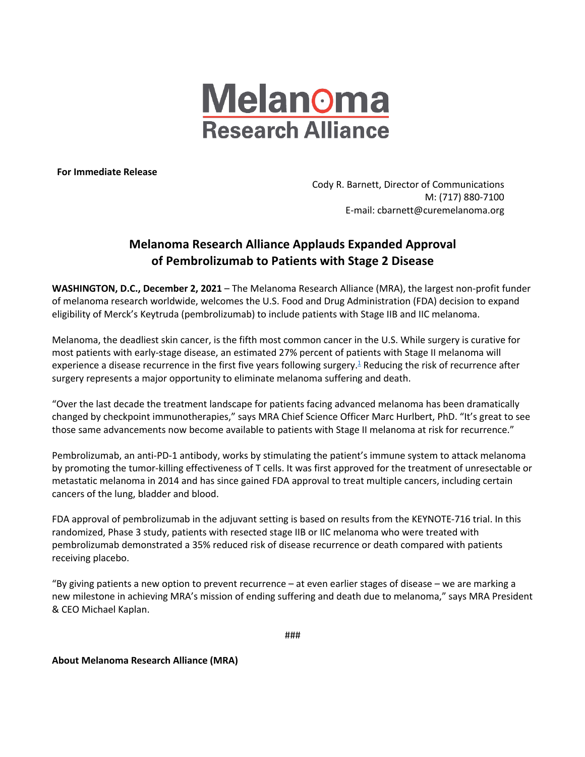

**For Immediate Release**

Cody R. Barnett, Director of Communications M: (717) 880-7100 E-mail: cbarnett@curemelanoma.org

## **Melanoma Research Alliance Applauds Expanded Approval of Pembrolizumab to Patients with Stage 2 Disease**

**WASHINGTON, D.C., December 2, 2021** – The Melanoma Research Alliance (MRA), the largest non-profit funder of melanoma research worldwide, welcomes the U.S. Food and Drug Administration (FDA) decision to expand eligibility of Merck's Keytruda (pembrolizumab) to include patients with Stage IIB and IIC melanoma.

Melanoma, the deadliest skin cancer, is the fifth most common cancer in the U.S. While surgery is curative for most patients with early-stage disease, an estimated 27% percent of patients with Stage II melanoma will experience a disease recurrence in the first five years following surgery.<sup>1</sup> Reducing the risk of recurrence after surgery represents a major opportunity to eliminate melanoma suffering and death.

"Over the last decade the treatment landscape for patients facing advanced melanoma has been dramatically changed by checkpoint immunotherapies," says MRA Chief Science Officer Marc Hurlbert, PhD. "It's great to see those same advancements now become available to patients with Stage II melanoma at risk for recurrence."

Pembrolizumab, an anti-PD-1 antibody, works by stimulating the patient's immune system to attack melanoma by promoting the tumor-killing effectiveness of T cells. It was first approved for the treatment of unresectable or metastatic melanoma in 2014 and has since gained FDA approval to treat multiple cancers, including certain cancers of the lung, bladder and blood.

FDA approval of pembrolizumab in the adjuvant setting is based on results from the KEYNOTE-716 trial. In this randomized, Phase 3 study, patients with resected stage IIB or IIC melanoma who were treated with pembrolizumab demonstrated a 35% reduced risk of disease recurrence or death compared with patients receiving placebo.

"By giving patients a new option to prevent recurrence – at even earlier stages of disease – we are marking a new milestone in achieving MRA's mission of ending suffering and death due to melanoma," says MRA President & CEO Michael Kaplan.

###

**About Melanoma Research Alliance (MRA)**